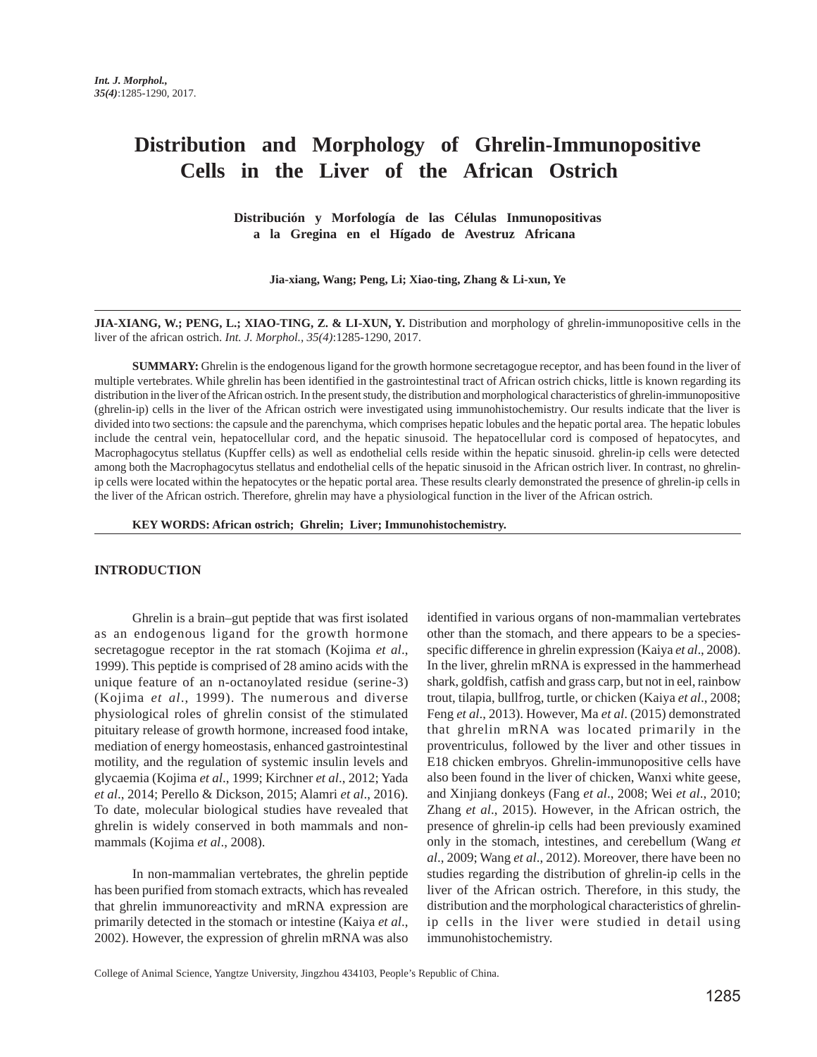# **Distribution and Morphology of Ghrelin-Immunopositive Cells in the Liver of the African Ostrich**

**Distribución y Morfología de las Células Inmunopositivas a la Gregina en el Hígado de Avestruz Africana**

**Jia-xiang, Wang; Peng, Li; Xiao-ting, Zhang & Li-xun, Ye**

**JIA-XIANG, W.; PENG, L.; XIAO-TING, Z. & LI-XUN, Y.** Distribution and morphology of ghrelin-immunopositive cells in the liver of the african ostrich. *Int. J. Morphol., 35(4)*:1285-1290, 2017.

**SUMMARY:** Ghrelin is the endogenous ligand for the growth hormone secretagogue receptor, and has been found in the liver of multiple vertebrates. While ghrelin has been identified in the gastrointestinal tract of African ostrich chicks, little is known regarding its distribution in the liver of the African ostrich. In the present study, the distribution and morphological characteristics of ghrelin-immunopositive (ghrelin-ip) cells in the liver of the African ostrich were investigated using immunohistochemistry. Our results indicate that the liver is divided into two sections: the capsule and the parenchyma, which comprises hepatic lobules and the hepatic portal area. The hepatic lobules include the central vein, hepatocellular cord, and the hepatic sinusoid. The hepatocellular cord is composed of hepatocytes, and Macrophagocytus stellatus (Kupffer cells) as well as endothelial cells reside within the hepatic sinusoid. ghrelin-ip cells were detected among both the Macrophagocytus stellatus and endothelial cells of the hepatic sinusoid in the African ostrich liver. In contrast, no ghrelinip cells were located within the hepatocytes or the hepatic portal area. These results clearly demonstrated the presence of ghrelin-ip cells in the liver of the African ostrich. Therefore, ghrelin may have a physiological function in the liver of the African ostrich.

**KEY WORDS: African ostrich; Ghrelin; Liver; Immunohistochemistry.**

#### **INTRODUCTION**

Ghrelin is a brain–gut peptide that was first isolated as an endogenous ligand for the growth hormone secretagogue receptor in the rat stomach (Kojima *et al*., 1999). This peptide is comprised of 28 amino acids with the unique feature of an n-octanoylated residue (serine-3) (Kojima *et al*., 1999). The numerous and diverse physiological roles of ghrelin consist of the stimulated pituitary release of growth hormone, increased food intake, mediation of energy homeostasis, enhanced gastrointestinal motility, and the regulation of systemic insulin levels and glycaemia (Kojima *et al*., 1999; Kirchner *et al*., 2012; Yada *et al*., 2014; Perello & Dickson, 2015; Alamri *et al*., 2016). To date, molecular biological studies have revealed that ghrelin is widely conserved in both mammals and nonmammals (Kojima *et al*., 2008).

In non-mammalian vertebrates, the ghrelin peptide has been purified from stomach extracts, which has revealed that ghrelin immunoreactivity and mRNA expression are primarily detected in the stomach or intestine (Kaiya *et al*., 2002). However, the expression of ghrelin mRNA was also

identified in various organs of non-mammalian vertebrates other than the stomach, and there appears to be a speciesspecific difference in ghrelin expression (Kaiya *et al*., 2008). In the liver, ghrelin mRNA is expressed in the hammerhead shark, goldfish, catfish and grass carp, but not in eel, rainbow trout, tilapia, bullfrog, turtle, or chicken (Kaiya *et al*., 2008; Feng *et al*., 2013). However, Ma *et al*. (2015) demonstrated that ghrelin mRNA was located primarily in the proventriculus, followed by the liver and other tissues in E18 chicken embryos. Ghrelin-immunopositive cells have also been found in the liver of chicken, Wanxi white geese, and Xinjiang donkeys (Fang *et al*., 2008; Wei *et al*., 2010; Zhang *et al*., 2015). However, in the African ostrich, the presence of ghrelin-ip cells had been previously examined only in the stomach, intestines, and cerebellum (Wang *et al*., 2009; Wang *et al*., 2012). Moreover, there have been no studies regarding the distribution of ghrelin-ip cells in the liver of the African ostrich. Therefore, in this study, the distribution and the morphological characteristics of ghrelinip cells in the liver were studied in detail using immunohistochemistry.

College of Animal Science, Yangtze University, Jingzhou 434103, People's Republic of China.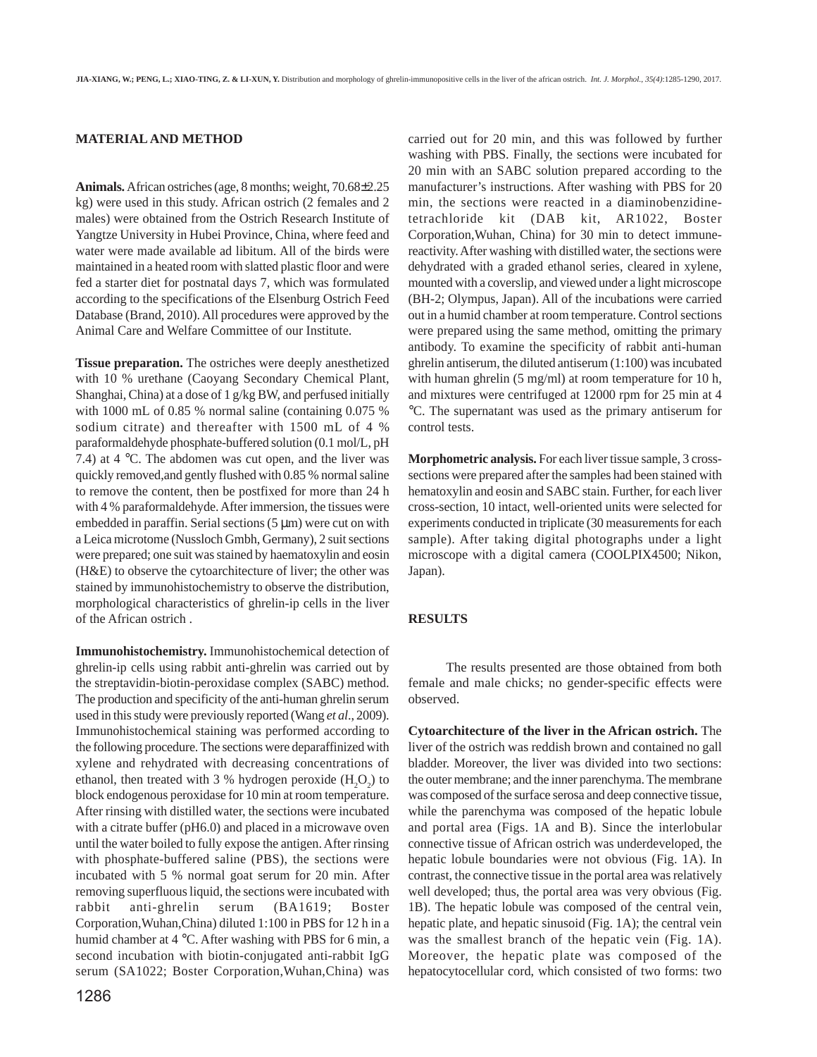## **MATERIAL AND METHOD**

**Animals.** African ostriches (age, 8 months; weight, 70.68±2.25 kg) were used in this study. African ostrich (2 females and 2 males) were obtained from the Ostrich Research Institute of Yangtze University in Hubei Province, China, where feed and water were made available ad libitum. All of the birds were maintained in a heated room with slatted plastic floor and were fed a starter diet for postnatal days 7, which was formulated according to the specifications of the Elsenburg Ostrich Feed Database (Brand, 2010). All procedures were approved by the Animal Care and Welfare Committee of our Institute.

**Tissue preparation.** The ostriches were deeply anesthetized with 10 % urethane (Caoyang Secondary Chemical Plant, Shanghai, China) at a dose of 1 g/kg BW, and perfused initially with 1000 mL of 0.85 % normal saline (containing 0.075 % sodium citrate) and thereafter with 1500 mL of 4 % paraformaldehyde phosphate-buffered solution (0.1 mol/L, pH 7.4) at 4 °C. The abdomen was cut open, and the liver was quickly removed,and gently flushed with 0.85 % normal saline to remove the content, then be postfixed for more than 24 h with 4 % paraformaldehyde. After immersion, the tissues were embedded in paraffin. Serial sections  $(5 \mu m)$  were cut on with a Leica microtome (Nussloch Gmbh, Germany), 2 suit sections were prepared; one suit was stained by haematoxylin and eosin (H&E) to observe the cytoarchitecture of liver; the other was stained by immunohistochemistry to observe the distribution, morphological characteristics of ghrelin-ip cells in the liver of the African ostrich .

**Immunohistochemistry.** Immunohistochemical detection of ghrelin-ip cells using rabbit anti-ghrelin was carried out by the streptavidin-biotin-peroxidase complex (SABC) method. The production and specificity of the anti-human ghrelin serum used in this study were previously reported (Wang *et al*., 2009). Immunohistochemical staining was performed according to the following procedure. The sections were deparaffinized with xylene and rehydrated with decreasing concentrations of ethanol, then treated with 3 % hydrogen peroxide  $(H_2O_2)$  to block endogenous peroxidase for 10 min at room temperature. After rinsing with distilled water, the sections were incubated with a citrate buffer (pH6.0) and placed in a microwave oven until the water boiled to fully expose the antigen. After rinsing with phosphate-buffered saline (PBS), the sections were incubated with 5 % normal goat serum for 20 min. After removing superfluous liquid, the sections were incubated with rabbit anti-ghrelin serum (BA1619; Boster Corporation,Wuhan,China) diluted 1:100 in PBS for 12 h in a humid chamber at 4 °C. After washing with PBS for 6 min, a second incubation with biotin-conjugated anti-rabbit IgG serum (SA1022; Boster Corporation,Wuhan,China) was

carried out for 20 min, and this was followed by further washing with PBS. Finally, the sections were incubated for 20 min with an SABC solution prepared according to the manufacturer's instructions. After washing with PBS for 20 min, the sections were reacted in a diaminobenzidinetetrachloride kit (DAB kit, AR1022, Boster Corporation,Wuhan, China) for 30 min to detect immunereactivity. After washing with distilled water, the sections were dehydrated with a graded ethanol series, cleared in xylene, mounted with a coverslip, and viewed under a light microscope (BH-2; Olympus, Japan). All of the incubations were carried out in a humid chamber at room temperature. Control sections were prepared using the same method, omitting the primary antibody. To examine the specificity of rabbit anti-human ghrelin antiserum, the diluted antiserum (1:100) was incubated with human ghrelin (5 mg/ml) at room temperature for 10 h, and mixtures were centrifuged at 12000 rpm for 25 min at 4 °C. The supernatant was used as the primary antiserum for control tests.

**Morphometric analysis.** For each liver tissue sample, 3 crosssections were prepared after the samples had been stained with hematoxylin and eosin and SABC stain. Further, for each liver cross-section, 10 intact, well-oriented units were selected for experiments conducted in triplicate (30 measurements for each sample). After taking digital photographs under a light microscope with a digital camera (COOLPIX4500; Nikon, Japan).

#### **RESULTS**

The results presented are those obtained from both female and male chicks; no gender-specific effects were observed.

**Cytoarchitecture of the liver in the African ostrich.** The liver of the ostrich was reddish brown and contained no gall bladder. Moreover, the liver was divided into two sections: the outer membrane; and the inner parenchyma. The membrane was composed of the surface serosa and deep connective tissue, while the parenchyma was composed of the hepatic lobule and portal area (Figs. 1A and B). Since the interlobular connective tissue of African ostrich was underdeveloped, the hepatic lobule boundaries were not obvious (Fig. 1A). In contrast, the connective tissue in the portal area was relatively well developed; thus, the portal area was very obvious (Fig. 1B). The hepatic lobule was composed of the central vein, hepatic plate, and hepatic sinusoid (Fig. 1A); the central vein was the smallest branch of the hepatic vein (Fig. 1A). Moreover, the hepatic plate was composed of the hepatocytocellular cord, which consisted of two forms: two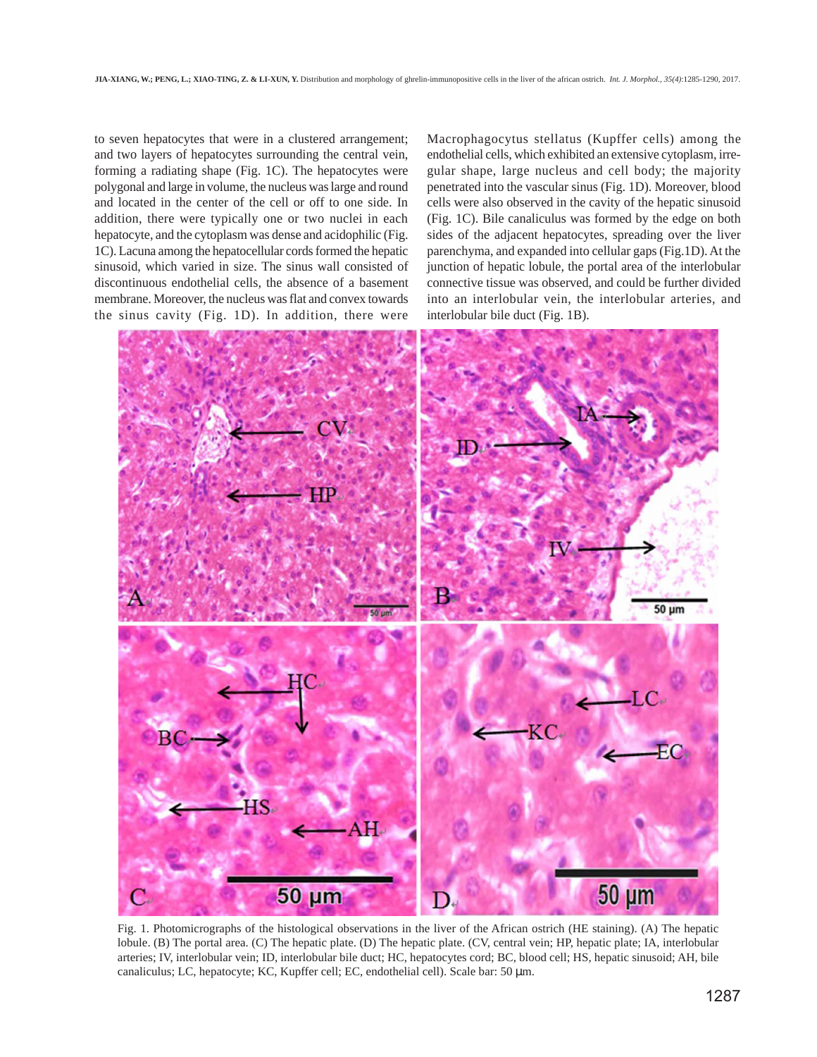to seven hepatocytes that were in a clustered arrangement; and two layers of hepatocytes surrounding the central vein, forming a radiating shape (Fig. 1C). The hepatocytes were polygonal and large in volume, the nucleus was large and round and located in the center of the cell or off to one side. In addition, there were typically one or two nuclei in each hepatocyte, and the cytoplasm was dense and acidophilic (Fig. 1C). Lacuna among the hepatocellular cords formed the hepatic sinusoid, which varied in size. The sinus wall consisted of discontinuous endothelial cells, the absence of a basement membrane. Moreover, the nucleus was flat and convex towards the sinus cavity (Fig. 1D). In addition, there were

Macrophagocytus stellatus (Kupffer cells) among the endothelial cells, which exhibited an extensive cytoplasm, irregular shape, large nucleus and cell body; the majority penetrated into the vascular sinus (Fig. 1D). Moreover, blood cells were also observed in the cavity of the hepatic sinusoid (Fig. 1C). Bile canaliculus was formed by the edge on both sides of the adjacent hepatocytes, spreading over the liver parenchyma, and expanded into cellular gaps (Fig.1D). At the junction of hepatic lobule, the portal area of the interlobular connective tissue was observed, and could be further divided into an interlobular vein, the interlobular arteries, and interlobular bile duct (Fig. 1B).



Fig. 1. Photomicrographs of the histological observations in the liver of the African ostrich (HE staining). (A) The hepatic lobule. (B) The portal area. (C) The hepatic plate. (D) The hepatic plate. (CV, central vein; HP, hepatic plate; IA, interlobular arteries; IV, interlobular vein; ID, interlobular bile duct; HC, hepatocytes cord; BC, blood cell; HS, hepatic sinusoid; AH, bile canaliculus; LC, hepatocyte; KC, Kupffer cell; EC, endothelial cell). Scale bar: 50  $\mu$ m.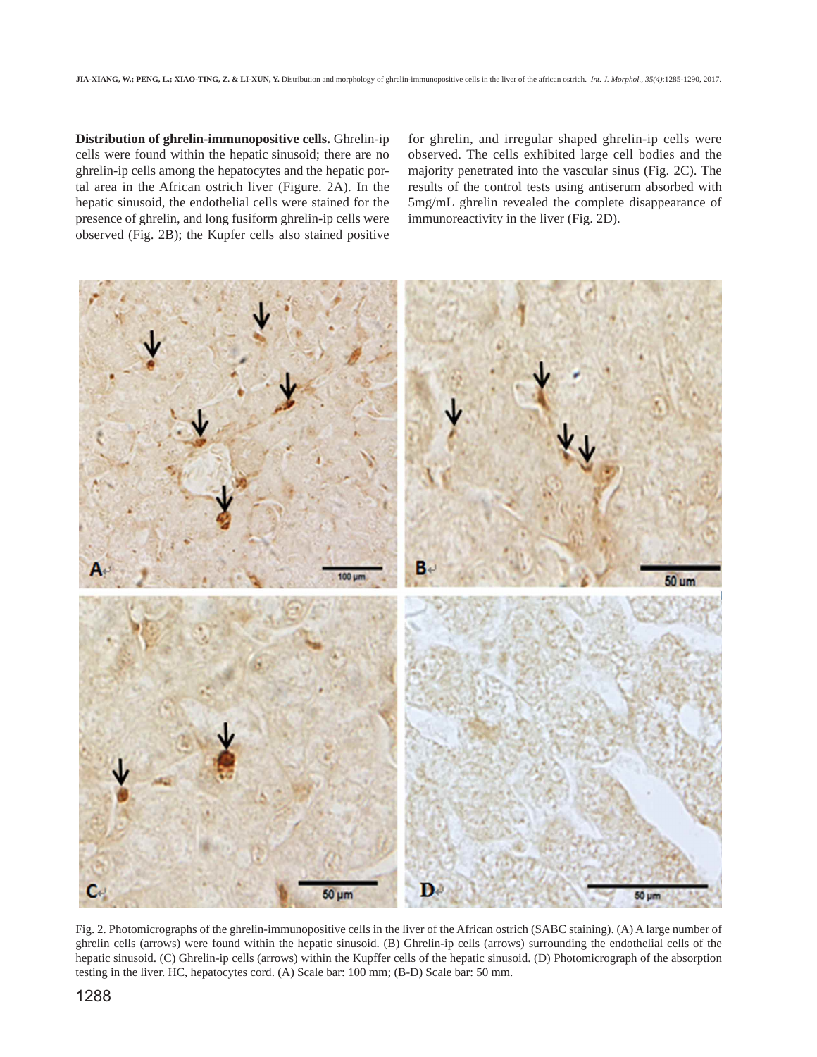**Distribution of ghrelin-immunopositive cells.** Ghrelin-ip cells were found within the hepatic sinusoid; there are no ghrelin-ip cells among the hepatocytes and the hepatic portal area in the African ostrich liver (Figure. 2A). In the hepatic sinusoid, the endothelial cells were stained for the presence of ghrelin, and long fusiform ghrelin-ip cells were observed (Fig. 2B); the Kupfer cells also stained positive for ghrelin, and irregular shaped ghrelin-ip cells were observed. The cells exhibited large cell bodies and the majority penetrated into the vascular sinus (Fig. 2C). The results of the control tests using antiserum absorbed with 5mg/mL ghrelin revealed the complete disappearance of immunoreactivity in the liver (Fig. 2D).



Fig. 2. Photomicrographs of the ghrelin-immunopositive cells in the liver of the African ostrich (SABC staining). (A) A large number of ghrelin cells (arrows) were found within the hepatic sinusoid. (B) Ghrelin-ip cells (arrows) surrounding the endothelial cells of the hepatic sinusoid. (C) Ghrelin-ip cells (arrows) within the Kupffer cells of the hepatic sinusoid. (D) Photomicrograph of the absorption testing in the liver. HC, hepatocytes cord. (A) Scale bar: 100 mm; (B-D) Scale bar: 50 mm.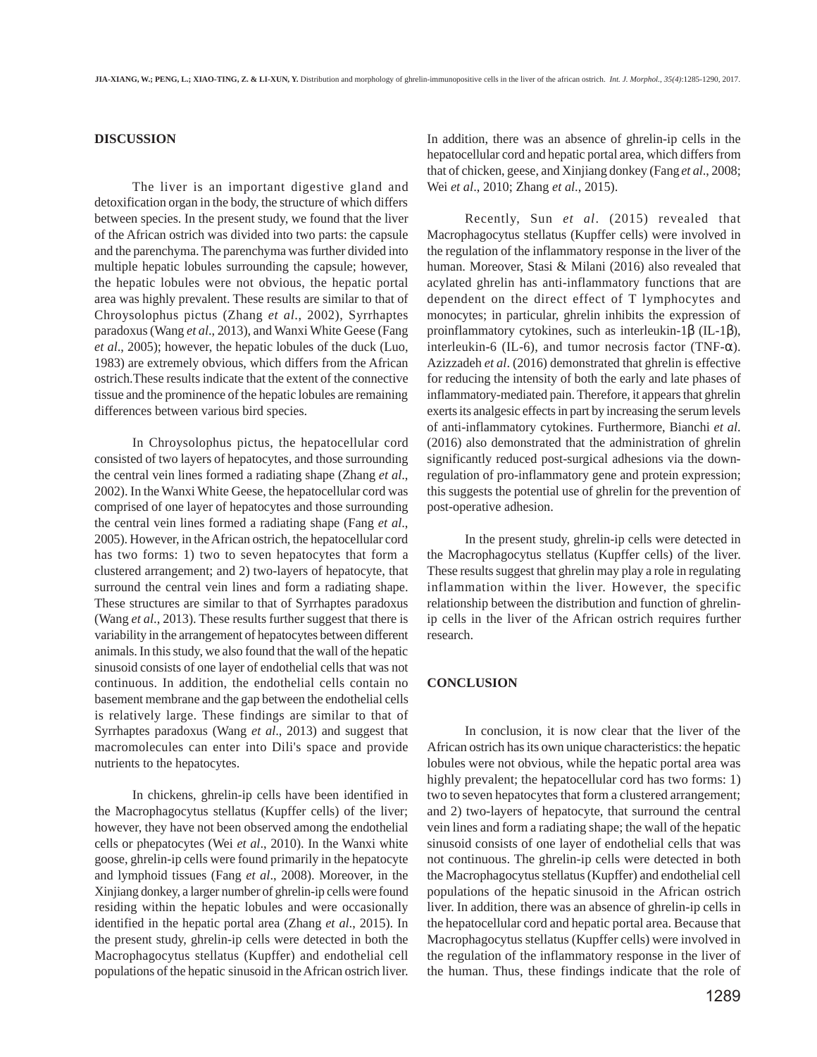### **DISCUSSION**

The liver is an important digestive gland and detoxification organ in the body, the structure of which differs between species. In the present study, we found that the liver of the African ostrich was divided into two parts: the capsule and the parenchyma. The parenchyma was further divided into multiple hepatic lobules surrounding the capsule; however, the hepatic lobules were not obvious, the hepatic portal area was highly prevalent. These results are similar to that of Chroysolophus pictus (Zhang *et al*., 2002), Syrrhaptes paradoxus (Wang *et al*., 2013), and Wanxi White Geese (Fang *et al*., 2005); however, the hepatic lobules of the duck (Luo, 1983) are extremely obvious, which differs from the African ostrich.These results indicate that the extent of the connective tissue and the prominence of the hepatic lobules are remaining differences between various bird species.

In Chroysolophus pictus, the hepatocellular cord consisted of two layers of hepatocytes, and those surrounding the central vein lines formed a radiating shape (Zhang *et al*., 2002). In the Wanxi White Geese, the hepatocellular cord was comprised of one layer of hepatocytes and those surrounding the central vein lines formed a radiating shape (Fang *et al*., 2005). However, in the African ostrich, the hepatocellular cord has two forms: 1) two to seven hepatocytes that form a clustered arrangement; and 2) two-layers of hepatocyte, that surround the central vein lines and form a radiating shape. These structures are similar to that of Syrrhaptes paradoxus (Wang *et al*., 2013). These results further suggest that there is variability in the arrangement of hepatocytes between different animals. In this study, we also found that the wall of the hepatic sinusoid consists of one layer of endothelial cells that was not continuous. In addition, the endothelial cells contain no basement membrane and the gap between the endothelial cells is relatively large. These findings are similar to that of Syrrhaptes paradoxus (Wang *et al*., 2013) and suggest that macromolecules can enter into Dili's space and provide nutrients to the hepatocytes.

In chickens, ghrelin-ip cells have been identified in the Macrophagocytus stellatus (Kupffer cells) of the liver; however, they have not been observed among the endothelial cells or phepatocytes (Wei *et al*., 2010). In the Wanxi white goose, ghrelin-ip cells were found primarily in the hepatocyte and lymphoid tissues (Fang *et al*., 2008). Moreover, in the Xinjiang donkey, a larger number of ghrelin-ip cells were found residing within the hepatic lobules and were occasionally identified in the hepatic portal area (Zhang *et al*., 2015). In the present study, ghrelin-ip cells were detected in both the Macrophagocytus stellatus (Kupffer) and endothelial cell populations of the hepatic sinusoid in the African ostrich liver. In addition, there was an absence of ghrelin-ip cells in the hepatocellular cord and hepatic portal area, which differs from that of chicken, geese, and Xinjiang donkey (Fang *et al*., 2008; Wei *et al*., 2010; Zhang *et al*., 2015).

Recently, Sun *et al*. (2015) revealed that Macrophagocytus stellatus (Kupffer cells) were involved in the regulation of the inflammatory response in the liver of the human. Moreover, Stasi & Milani (2016) also revealed that acylated ghrelin has anti-inflammatory functions that are dependent on the direct effect of T lymphocytes and monocytes; in particular, ghrelin inhibits the expression of proinflammatory cytokines, such as interleukin-1β (IL-1β), interleukin-6 (IL-6), and tumor necrosis factor (TNF- $\alpha$ ). Azizzadeh *et al*. (2016) demonstrated that ghrelin is effective for reducing the intensity of both the early and late phases of inflammatory-mediated pain. Therefore, it appears that ghrelin exerts its analgesic effects in part by increasing the serum levels of anti-inflammatory cytokines. Furthermore, Bianchi *et al*. (2016) also demonstrated that the administration of ghrelin significantly reduced post-surgical adhesions via the downregulation of pro-inflammatory gene and protein expression; this suggests the potential use of ghrelin for the prevention of post-operative adhesion.

In the present study, ghrelin-ip cells were detected in the Macrophagocytus stellatus (Kupffer cells) of the liver. These results suggest that ghrelin may play a role in regulating inflammation within the liver. However, the specific relationship between the distribution and function of ghrelinip cells in the liver of the African ostrich requires further research.

#### **CONCLUSION**

In conclusion, it is now clear that the liver of the African ostrich has its own unique characteristics: the hepatic lobules were not obvious, while the hepatic portal area was highly prevalent; the hepatocellular cord has two forms: 1) two to seven hepatocytes that form a clustered arrangement; and 2) two-layers of hepatocyte, that surround the central vein lines and form a radiating shape; the wall of the hepatic sinusoid consists of one layer of endothelial cells that was not continuous. The ghrelin-ip cells were detected in both the Macrophagocytus stellatus (Kupffer) and endothelial cell populations of the hepatic sinusoid in the African ostrich liver. In addition, there was an absence of ghrelin-ip cells in the hepatocellular cord and hepatic portal area. Because that Macrophagocytus stellatus (Kupffer cells) were involved in the regulation of the inflammatory response in the liver of the human. Thus, these findings indicate that the role of